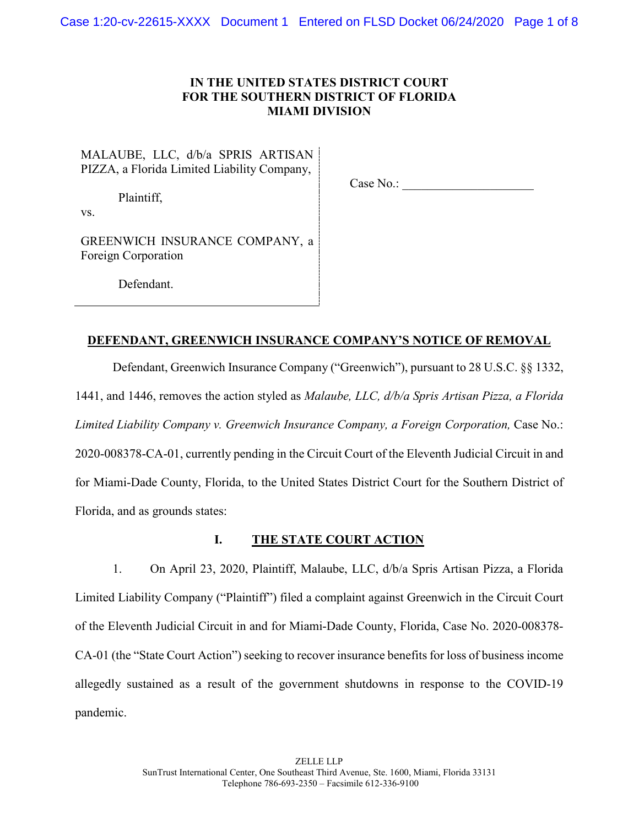# **IN THE UNITED STATES DISTRICT COURT FOR THE SOUTHERN DISTRICT OF FLORIDA MIAMI DIVISION**

MALAUBE, LLC, d/b/a SPRIS ARTISAN PIZZA, a Florida Limited Liability Company,

Case No.: \_\_\_\_\_\_\_\_\_\_\_\_\_\_\_\_\_\_\_\_\_

Plaintiff,

vs.

GREENWICH INSURANCE COMPANY, a Foreign Corporation

Defendant.

# **DEFENDANT, GREENWICH INSURANCE COMPANY'S NOTICE OF REMOVAL**

Defendant, Greenwich Insurance Company ("Greenwich"), pursuant to 28 U.S.C. §§ 1332, 1441, and 1446, removes the action styled as *Malaube, LLC, d/b/a Spris Artisan Pizza, a Florida Limited Liability Company v. Greenwich Insurance Company, a Foreign Corporation,* Case No.: 2020-008378-CA-01, currently pending in the Circuit Court of the Eleventh Judicial Circuit in and for Miami-Dade County, Florida, to the United States District Court for the Southern District of Florida, and as grounds states:

# **I. THE STATE COURT ACTION**

1. On April 23, 2020, Plaintiff, Malaube, LLC, d/b/a Spris Artisan Pizza, a Florida Limited Liability Company ("Plaintiff") filed a complaint against Greenwich in the Circuit Court of the Eleventh Judicial Circuit in and for Miami-Dade County, Florida, Case No. 2020-008378- CA-01 (the "State Court Action") seeking to recover insurance benefits for loss of business income allegedly sustained as a result of the government shutdowns in response to the COVID-19 pandemic.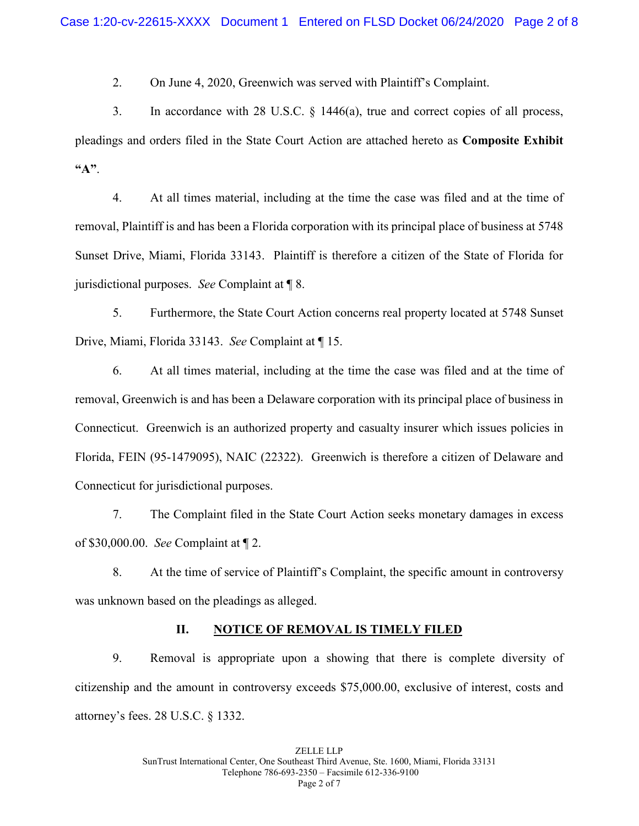2. On June 4, 2020, Greenwich was served with Plaintiff's Complaint.

3. In accordance with 28 U.S.C. § 1446(a), true and correct copies of all process, pleadings and orders filed in the State Court Action are attached hereto as **Composite Exhibit "A"**.

4. At all times material, including at the time the case was filed and at the time of removal, Plaintiff is and has been a Florida corporation with its principal place of business at 5748 Sunset Drive, Miami, Florida 33143. Plaintiff is therefore a citizen of the State of Florida for jurisdictional purposes. *See* Complaint at ¶ 8.

5. Furthermore, the State Court Action concerns real property located at 5748 Sunset Drive, Miami, Florida 33143. *See* Complaint at ¶ 15.

6. At all times material, including at the time the case was filed and at the time of removal, Greenwich is and has been a Delaware corporation with its principal place of business in Connecticut. Greenwich is an authorized property and casualty insurer which issues policies in Florida, FEIN (95-1479095), NAIC (22322). Greenwich is therefore a citizen of Delaware and Connecticut for jurisdictional purposes.

7. The Complaint filed in the State Court Action seeks monetary damages in excess of \$30,000.00. *See* Complaint at ¶ 2.

8. At the time of service of Plaintiff's Complaint, the specific amount in controversy was unknown based on the pleadings as alleged.

## **II. NOTICE OF REMOVAL IS TIMELY FILED**

9. Removal is appropriate upon a showing that there is complete diversity of citizenship and the amount in controversy exceeds \$75,000.00, exclusive of interest, costs and attorney's fees. 28 U.S.C. § 1332.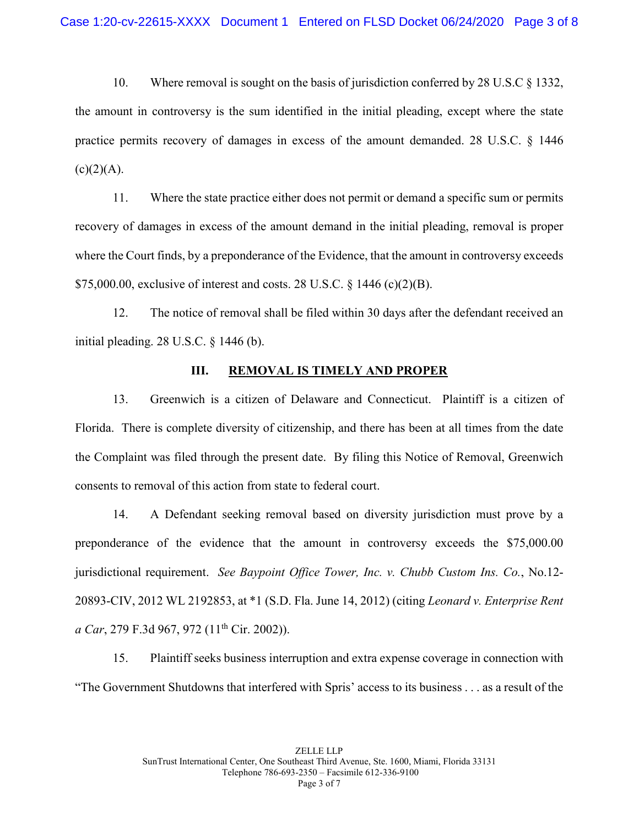10. Where removal is sought on the basis of jurisdiction conferred by 28 U.S.C § 1332, the amount in controversy is the sum identified in the initial pleading, except where the state practice permits recovery of damages in excess of the amount demanded. 28 U.S.C. § 1446  $(c)(2)(A).$ 

11. Where the state practice either does not permit or demand a specific sum or permits recovery of damages in excess of the amount demand in the initial pleading, removal is proper where the Court finds, by a preponderance of the Evidence, that the amount in controversy exceeds \$75,000.00, exclusive of interest and costs. 28 U.S.C. § 1446 (c)(2)(B).

12. The notice of removal shall be filed within 30 days after the defendant received an initial pleading. 28 U.S.C. § 1446 (b).

## **III. REMOVAL IS TIMELY AND PROPER**

13. Greenwich is a citizen of Delaware and Connecticut. Plaintiff is a citizen of Florida. There is complete diversity of citizenship, and there has been at all times from the date the Complaint was filed through the present date. By filing this Notice of Removal, Greenwich consents to removal of this action from state to federal court.

14. A Defendant seeking removal based on diversity jurisdiction must prove by a preponderance of the evidence that the amount in controversy exceeds the \$75,000.00 jurisdictional requirement. *See Baypoint Office Tower, Inc. v. Chubb Custom Ins. Co.*, No.12- 20893-CIV, 2012 WL 2192853, at \*1 (S.D. Fla. June 14, 2012) (citing *Leonard v. Enterprise Rent a Car*, 279 F.3d 967, 972 (11<sup>th</sup> Cir. 2002)).

15. Plaintiff seeks business interruption and extra expense coverage in connection with "The Government Shutdowns that interfered with Spris' access to its business . . . as a result of the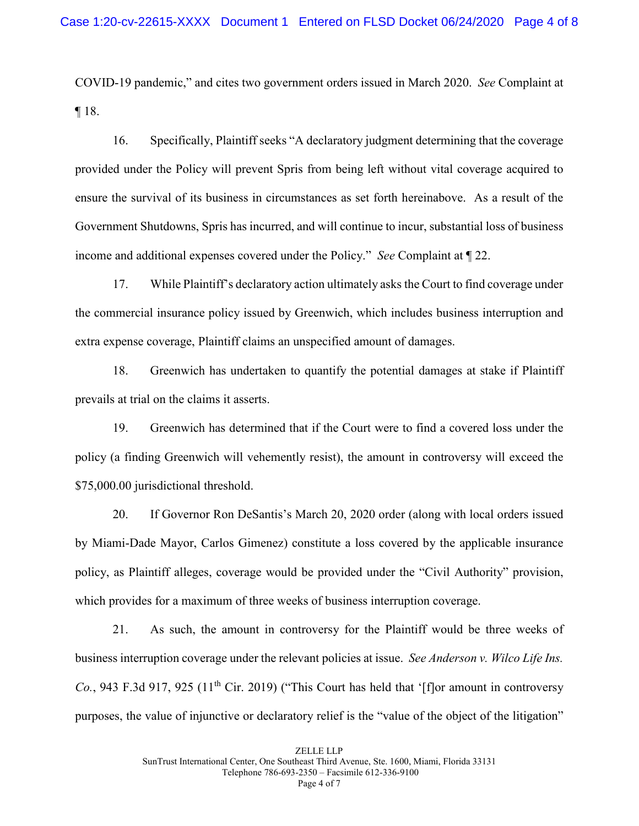COVID-19 pandemic," and cites two government orders issued in March 2020. *See* Complaint at ¶ 18.

16. Specifically, Plaintiff seeks "A declaratory judgment determining that the coverage provided under the Policy will prevent Spris from being left without vital coverage acquired to ensure the survival of its business in circumstances as set forth hereinabove. As a result of the Government Shutdowns, Spris has incurred, and will continue to incur, substantial loss of business income and additional expenses covered under the Policy." *See* Complaint at ¶ 22.

17. While Plaintiff's declaratory action ultimately asks the Court to find coverage under the commercial insurance policy issued by Greenwich, which includes business interruption and extra expense coverage, Plaintiff claims an unspecified amount of damages.

18. Greenwich has undertaken to quantify the potential damages at stake if Plaintiff prevails at trial on the claims it asserts.

19. Greenwich has determined that if the Court were to find a covered loss under the policy (a finding Greenwich will vehemently resist), the amount in controversy will exceed the \$75,000.00 jurisdictional threshold.

20. If Governor Ron DeSantis's March 20, 2020 order (along with local orders issued by Miami-Dade Mayor, Carlos Gimenez) constitute a loss covered by the applicable insurance policy, as Plaintiff alleges, coverage would be provided under the "Civil Authority" provision, which provides for a maximum of three weeks of business interruption coverage.

21. As such, the amount in controversy for the Plaintiff would be three weeks of business interruption coverage under the relevant policies at issue. *See Anderson v. Wilco Life Ins. Co.*, 943 F.3d 917, 925 (11<sup>th</sup> Cir. 2019) ("This Court has held that '[f] or amount in controversy purposes, the value of injunctive or declaratory relief is the "value of the object of the litigation"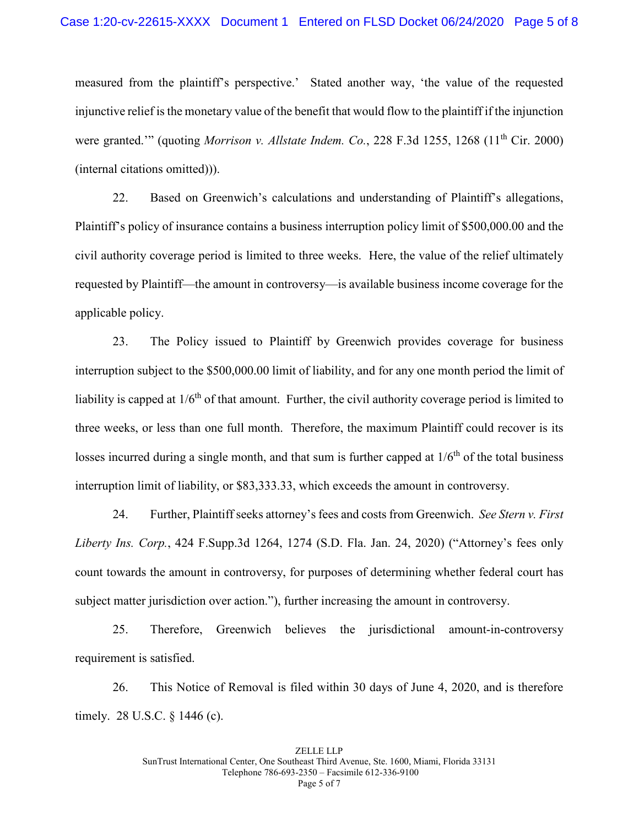measured from the plaintiff's perspective.' Stated another way, 'the value of the requested injunctive relief is the monetary value of the benefit that would flow to the plaintiff if the injunction were granted."" (quoting *Morrison v. Allstate Indem. Co.*, 228 F.3d 1255, 1268 (11<sup>th</sup> Cir. 2000) (internal citations omitted))).

22. Based on Greenwich's calculations and understanding of Plaintiff's allegations, Plaintiff's policy of insurance contains a business interruption policy limit of \$500,000.00 and the civil authority coverage period is limited to three weeks. Here, the value of the relief ultimately requested by Plaintiff—the amount in controversy—is available business income coverage for the applicable policy.

23. The Policy issued to Plaintiff by Greenwich provides coverage for business interruption subject to the \$500,000.00 limit of liability, and for any one month period the limit of liability is capped at  $1/6<sup>th</sup>$  of that amount. Further, the civil authority coverage period is limited to three weeks, or less than one full month. Therefore, the maximum Plaintiff could recover is its losses incurred during a single month, and that sum is further capped at  $1/6<sup>th</sup>$  of the total business interruption limit of liability, or \$83,333.33, which exceeds the amount in controversy.

24. Further, Plaintiff seeks attorney's fees and costs from Greenwich. *See Stern v. First Liberty Ins. Corp.*, 424 F.Supp.3d 1264, 1274 (S.D. Fla. Jan. 24, 2020) ("Attorney's fees only count towards the amount in controversy, for purposes of determining whether federal court has subject matter jurisdiction over action."), further increasing the amount in controversy.

25. Therefore, Greenwich believes the jurisdictional amount-in-controversy requirement is satisfied.

26. This Notice of Removal is filed within 30 days of June 4, 2020, and is therefore timely. 28 U.S.C. § 1446 (c).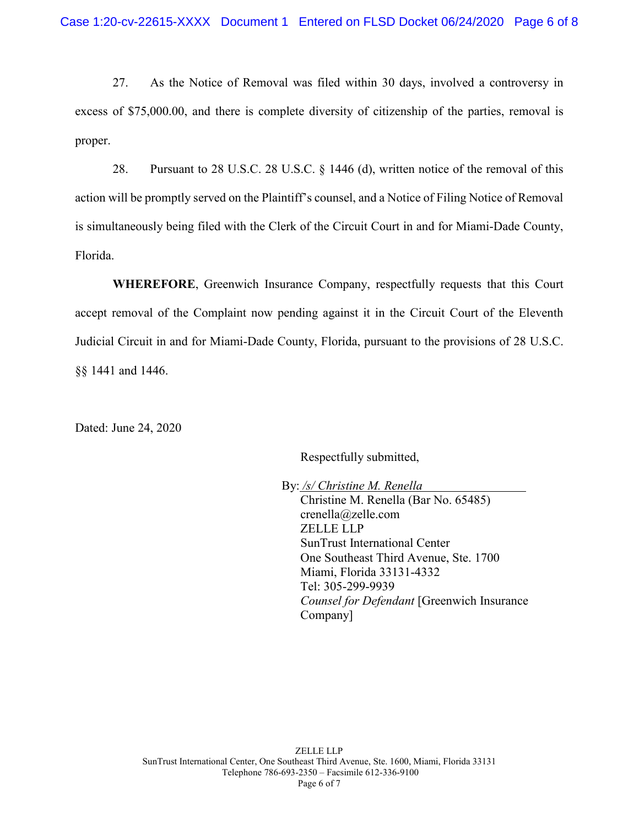27. As the Notice of Removal was filed within 30 days, involved a controversy in excess of \$75,000.00, and there is complete diversity of citizenship of the parties, removal is proper.

28. Pursuant to 28 U.S.C. 28 U.S.C. § 1446 (d), written notice of the removal of this action will be promptly served on the Plaintiff's counsel, and a Notice of Filing Notice of Removal is simultaneously being filed with the Clerk of the Circuit Court in and for Miami-Dade County, Florida.

**WHEREFORE**, Greenwich Insurance Company, respectfully requests that this Court accept removal of the Complaint now pending against it in the Circuit Court of the Eleventh Judicial Circuit in and for Miami-Dade County, Florida, pursuant to the provisions of 28 U.S.C. §§ 1441 and 1446.

Dated: June 24, 2020

Respectfully submitted,

By: */s/ Christine M. Renella* Christine M. Renella (Bar No. 65485) crenella@zelle.com ZELLE LLP SunTrust International Center One Southeast Third Avenue, Ste. 1700 Miami, Florida 33131-4332 Tel: 305-299-9939 *Counsel for Defendant* [Greenwich Insurance Company]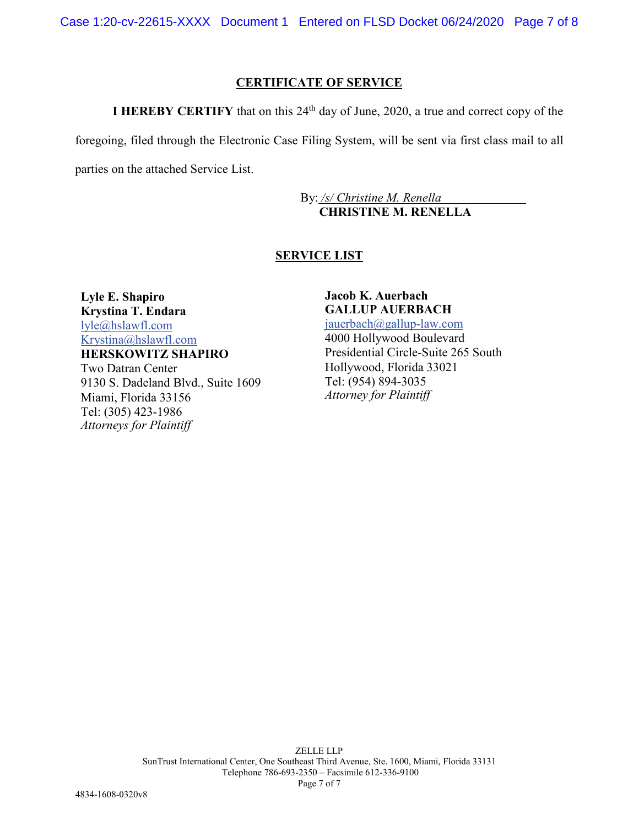# **CERTIFICATE OF SERVICE**

**I HEREBY CERTIFY** that on this  $24<sup>th</sup>$  day of June, 2020, a true and correct copy of the

foregoing, filed through the Electronic Case Filing System, will be sent via first class mail to all

parties on the attached Service List.

By: */s/ Christine M. Renella* **CHRISTINE M. RENELLA**

# **SERVICE LIST**

**Lyle E. Shapiro Krystina T. Endara** [lyle@hslawfl.com](mailto:lyle@hslawfl.com) [Krystina@hslawfl.com](mailto:Krystina@hslawfl.com) **HERSKOWITZ SHAPIRO**

Two Datran Center 9130 S. Dadeland Blvd., Suite 1609 Miami, Florida 33156 Tel: (305) 423-1986 *Attorneys for Plaintiff*

**Jacob K. Auerbach GALLUP AUERBACH** [jauerbach@gallup-law.com](mailto:jauerbach@gallup-law.com) 4000 Hollywood Boulevard Presidential Circle-Suite 265 South Hollywood, Florida 33021 Tel: (954) 894-3035 *Attorney for Plaintiff*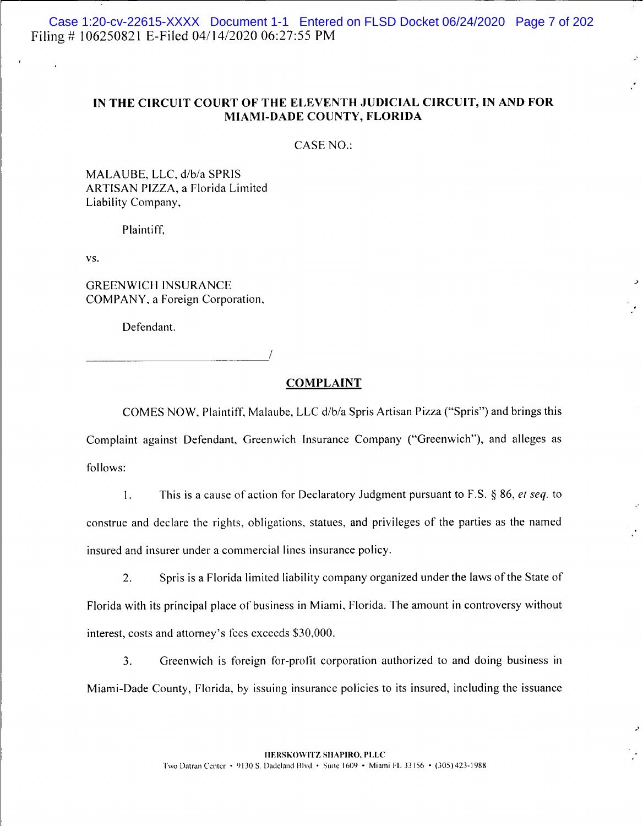Case 1:20-cv-22615-XXXX Document 1-1 Entered on FLSD Docket 06/24/2020 Page 7 of 202 Filing #106250821 E-Filed 04/14/2020 06:27:55 PM

## IN THE CIRCUIT COURT OF THE ELEVENTH JUDICIAL CIRCUIT, IN AND FOR MIAMI-DADE COUNTY, FLORIDA

CASE NO.:

MALAUBE, LLC, d/b/a SPRIS ARTISAN PIZZA, a Florida Limited Liability Company,

Plaintiff,

VS.

**GREENWICH INSURANCE** COMPANY, a Foreign Corporation,

Defendant.

#### **COMPLAINT**

COMES NOW, Plaintiff, Malaube, LLC d/b/a Spris Artisan Pizza ("Spris") and brings this Complaint against Defendant, Greenwich Insurance Company ("Greenwich"), and alleges as follows:

This is a cause of action for Declaratory Judgment pursuant to F.S.  $\S$  86, *et seq.* to  $\mathbf{1}$ . construe and declare the rights, obligations, statues, and privileges of the parties as the named insured and insurer under a commercial lines insurance policy.

Spris is a Florida limited liability company organized under the laws of the State of  $2.$ Florida with its principal place of business in Miami, Florida. The amount in controversy without interest, costs and attorney's fees exceeds \$30,000.

 $3.$ Greenwich is foreign for-profit corporation authorized to and doing business in Miami-Dade County, Florida, by issuing insurance policies to its insured, including the issuance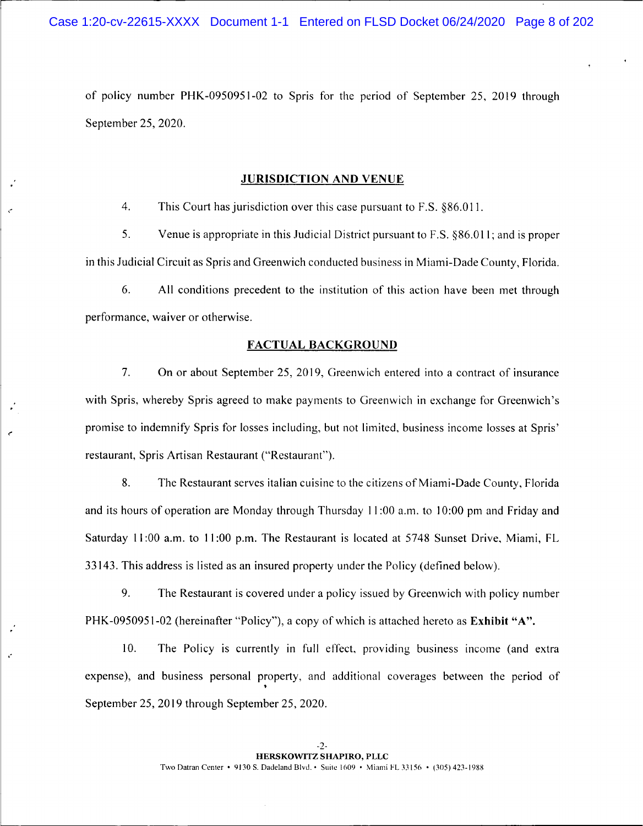of policy number PHK-0950951-02 to Spris for the period of September 25, 2019 through September 25, 2020.

### **JURISDICTION AND VENUE**

 $4.$ This Court has jurisdiction over this case pursuant to F.S. §86.011.

5. Venue is appropriate in this Judicial District pursuant to F.S. §86.011; and is proper in this Judicial Circuit as Spris and Greenwich conducted business in Miami-Dade County, Florida.

6. All conditions precedent to the institution of this action have been met through performance, waiver or otherwise.

#### **FACTUAL BACKGROUND**

7. On or about September 25, 2019, Greenwich entered into a contract of insurance with Spris, whereby Spris agreed to make payments to Greenwich in exchange for Greenwich's promise to indemnify Spris for losses including, but not limited, business income losses at Spris' restaurant, Spris Artisan Restaurant ("Restaurant").

8. The Restaurant serves italian cuisine to the citizens of Miami-Dade County, Florida and its hours of operation are Monday through Thursday 11:00 a.m. to 10:00 pm and Friday and Saturday 11:00 a.m. to 11:00 p.m. The Restaurant is located at 5748 Sunset Drive, Miami, FL 33143. This address is listed as an insured property under the Policy (defined below).

9. The Restaurant is covered under a policy issued by Greenwich with policy number PHK-0950951-02 (hereinafter "Policy"), a copy of which is attached hereto as Exhibit "A".

10. The Policy is currently in full effect, providing business income (and extra expense), and business personal property, and additional coverages between the period of September 25, 2019 through September 25, 2020.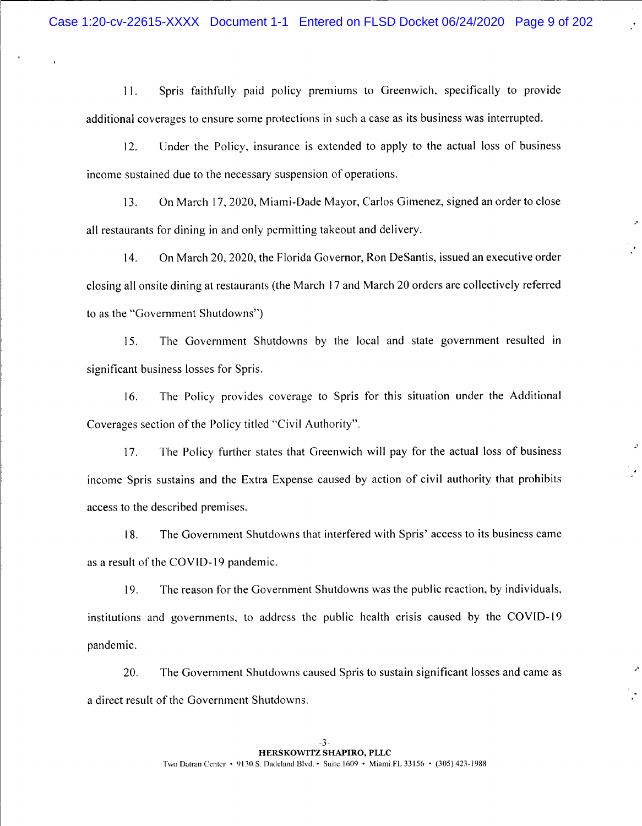Spris faithfully paid policy premiums to Greenwich, specifically to provide  $11.$ additional coverages to ensure some protections in such a case as its business was interrupted.

Under the Policy, insurance is extended to apply to the actual loss of business  $12.$ income sustained due to the necessary suspension of operations.

On March 17, 2020, Miami-Dade Mayor, Carlos Gimenez, signed an order to close  $13.$ all restaurants for dining in and only permitting takeout and delivery.

 $\lambda$ 

 $14.$ On March 20, 2020, the Florida Governor, Ron DeSantis, issued an executive order closing all onsite dining at restaurants (the March 17 and March 20 orders are collectively referred to as the "Government Shutdowns")

The Government Shutdowns by the local and state government resulted in 15. significant business losses for Spris.

16. The Policy provides coverage to Spris for this situation under the Additional Coverages section of the Policy titled "Civil Authority".

The Policy further states that Greenwich will pay for the actual loss of business 17. income Spris sustains and the Extra Expense caused by action of civil authority that prohibits access to the described premises.

The Government Shutdowns that interfered with Spris' access to its business came 18. as a result of the COVID-19 pandemic.

19. The reason for the Government Shutdowns was the public reaction, by individuals, institutions and governments, to address the public health crisis caused by the COVID-19 pandemic.

The Government Shutdowns caused Spris to sustain significant losses and came as 20. a direct result of the Government Shutdowns.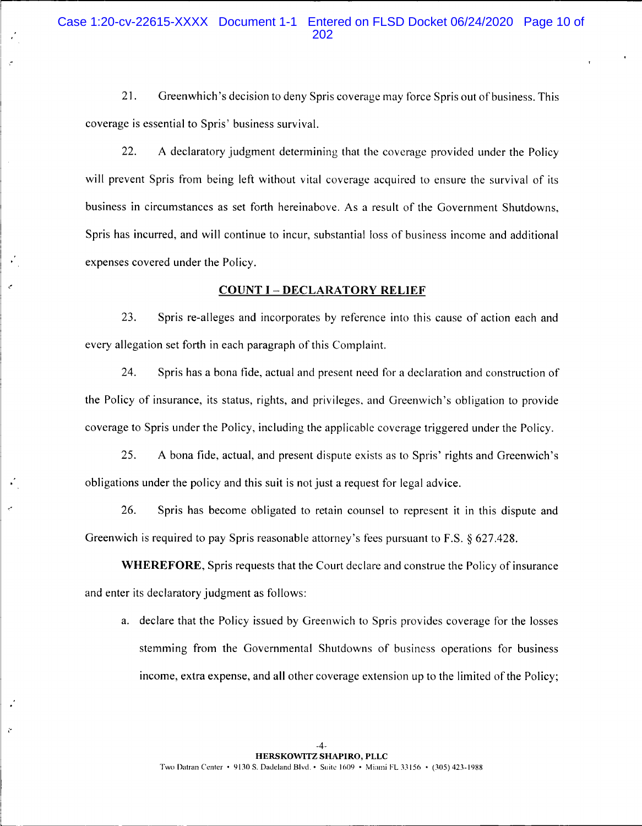21. Greenwhich's decision to deny Spris coverage may force Spris out of business. This coverage is essential to Spris' business survival.

22. A declaratory judgment determining that the coverage provided under the Policy will prevent Spris from being left without vital coverage acquired to ensure the survival of its business in circumstances as set forth hereinabove. As a result of the Government Shutdowns, Spris has incurred, and will continue to incur, substantial loss of business income and additional expenses covered under the Policy.

### **COUNT I - DECLARATORY RELIEF**

23. Spris re-alleges and incorporates by reference into this cause of action each and every allegation set forth in each paragraph of this Complaint.

24. Spris has a bona fide, actual and present need for a declaration and construction of the Policy of insurance, its status, rights, and privileges, and Greenwich's obligation to provide coverage to Spris under the Policy, including the applicable coverage triggered under the Policy.

25. A bona fide, actual, and present dispute exists as to Spris' rights and Greenwich's obligations under the policy and this suit is not just a request for legal advice.

26. Spris has become obligated to retain counsel to represent it in this dispute and Greenwich is required to pay Spris reasonable attorney's fees pursuant to F.S. § 627.428.

WHEREFORE, Spris requests that the Court declare and construe the Policy of insurance and enter its declaratory judgment as follows:

a. declare that the Policy issued by Greenwich to Spris provides coverage for the losses stemming from the Governmental Shutdowns of business operations for business income, extra expense, and all other coverage extension up to the limited of the Policy;